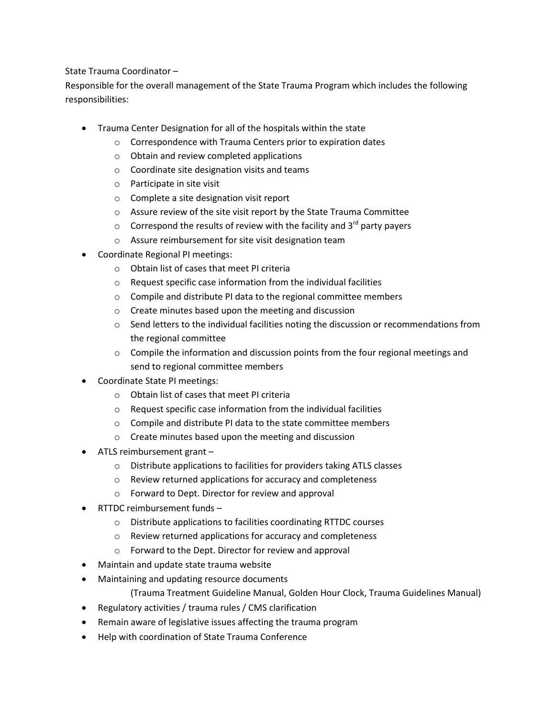## State Trauma Coordinator –

Responsible for the overall management of the State Trauma Program which includes the following responsibilities:

- Trauma Center Designation for all of the hospitals within the state
	- o Correspondence with Trauma Centers prior to expiration dates
	- o Obtain and review completed applications
	- o Coordinate site designation visits and teams
	- o Participate in site visit
	- o Complete a site designation visit report
	- o Assure review of the site visit report by the State Trauma Committee
	- $\circ$  Correspond the results of review with the facility and 3<sup>rd</sup> party payers
	- o Assure reimbursement for site visit designation team
- Coordinate Regional PI meetings:
	- o Obtain list of cases that meet PI criteria
	- o Request specific case information from the individual facilities
	- o Compile and distribute PI data to the regional committee members
	- o Create minutes based upon the meeting and discussion
	- o Send letters to the individual facilities noting the discussion or recommendations from the regional committee
	- $\circ$  Compile the information and discussion points from the four regional meetings and send to regional committee members
- Coordinate State PI meetings:
	- o Obtain list of cases that meet PI criteria
	- o Request specific case information from the individual facilities
	- o Compile and distribute PI data to the state committee members
	- o Create minutes based upon the meeting and discussion
- ATLS reimbursement grant
	- o Distribute applications to facilities for providers taking ATLS classes
	- o Review returned applications for accuracy and completeness
	- o Forward to Dept. Director for review and approval
- RTTDC reimbursement funds
	- o Distribute applications to facilities coordinating RTTDC courses
	- o Review returned applications for accuracy and completeness
	- o Forward to the Dept. Director for review and approval
- Maintain and update state trauma website
- Maintaining and updating resource documents
	- (Trauma Treatment Guideline Manual, Golden Hour Clock, Trauma Guidelines Manual)
- Regulatory activities / trauma rules / CMS clarification
- Remain aware of legislative issues affecting the trauma program
- Help with coordination of State Trauma Conference